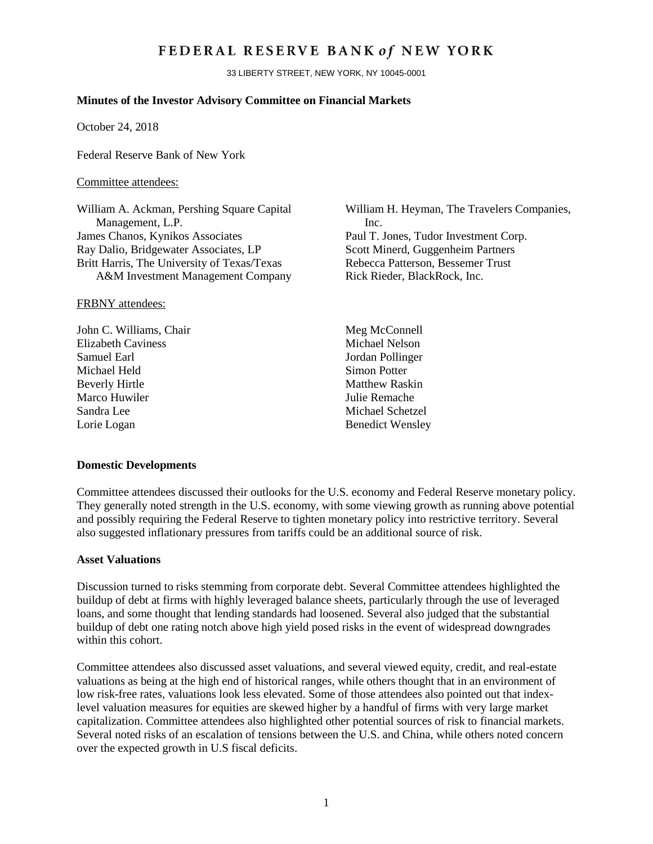## FEDERAL RESERVE BANK of NEW YORK

33 LIBERTY STREET, NEW YORK, NY 10045-0001

## **Minutes of the Investor Advisory Committee on Financial Markets**

October 24, 2018

Federal Reserve Bank of New York

#### Committee attendees:

William A. Ackman, Pershing Square Capital Management, L.P. James Chanos, Kynikos Associates Ray Dalio, Bridgewater Associates, LP Britt Harris, The University of Texas/Texas A&M Investment Management Company

FRBNY attendees:

John C. Williams, Chair Elizabeth Caviness Samuel Earl Michael Held Beverly Hirtle Marco Huwiler Sandra Lee Lorie Logan

William H. Heyman, The Travelers Companies, Inc. Paul T. Jones, Tudor Investment Corp. Scott Minerd, Guggenheim Partners Rebecca Patterson, Bessemer Trust Rick Rieder, BlackRock, Inc.

Meg McConnell Michael Nelson Jordan Pollinger Simon Potter Matthew Raskin Julie Remache Michael Schetzel Benedict Wensley

#### **Domestic Developments**

Committee attendees discussed their outlooks for the U.S. economy and Federal Reserve monetary policy. They generally noted strength in the U.S. economy, with some viewing growth as running above potential and possibly requiring the Federal Reserve to tighten monetary policy into restrictive territory. Several also suggested inflationary pressures from tariffs could be an additional source of risk.

#### **Asset Valuations**

Discussion turned to risks stemming from corporate debt. Several Committee attendees highlighted the buildup of debt at firms with highly leveraged balance sheets, particularly through the use of leveraged loans, and some thought that lending standards had loosened. Several also judged that the substantial buildup of debt one rating notch above high yield posed risks in the event of widespread downgrades within this cohort.

Committee attendees also discussed asset valuations, and several viewed equity, credit, and real-estate valuations as being at the high end of historical ranges, while others thought that in an environment of low risk-free rates, valuations look less elevated. Some of those attendees also pointed out that indexlevel valuation measures for equities are skewed higher by a handful of firms with very large market capitalization. Committee attendees also highlighted other potential sources of risk to financial markets. Several noted risks of an escalation of tensions between the U.S. and China, while others noted concern over the expected growth in U.S fiscal deficits.